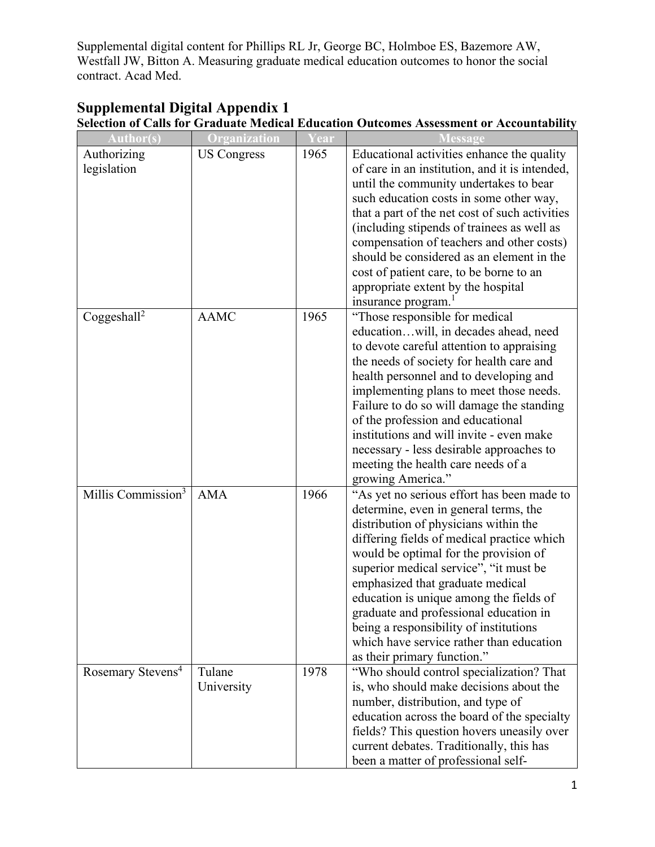| <b>Author(s)</b>               | Organization       | ear  | <b>Message</b>                                 |
|--------------------------------|--------------------|------|------------------------------------------------|
| Authorizing                    | <b>US Congress</b> | 1965 | Educational activities enhance the quality     |
| legislation                    |                    |      | of care in an institution, and it is intended, |
|                                |                    |      | until the community undertakes to bear         |
|                                |                    |      | such education costs in some other way,        |
|                                |                    |      | that a part of the net cost of such activities |
|                                |                    |      | (including stipends of trainees as well as     |
|                                |                    |      | compensation of teachers and other costs)      |
|                                |                    |      | should be considered as an element in the      |
|                                |                    |      | cost of patient care, to be borne to an        |
|                                |                    |      | appropriate extent by the hospital             |
|                                |                    |      | insurance program. <sup>1</sup>                |
| Coggeshall <sup>2</sup>        | <b>AAMC</b>        | 1965 | "Those responsible for medical                 |
|                                |                    |      | educationwill, in decades ahead, need          |
|                                |                    |      | to devote careful attention to appraising      |
|                                |                    |      | the needs of society for health care and       |
|                                |                    |      | health personnel and to developing and         |
|                                |                    |      | implementing plans to meet those needs.        |
|                                |                    |      | Failure to do so will damage the standing      |
|                                |                    |      | of the profession and educational              |
|                                |                    |      | institutions and will invite - even make       |
|                                |                    |      | necessary - less desirable approaches to       |
|                                |                    |      | meeting the health care needs of a             |
|                                |                    |      | growing America."                              |
| Millis Commission <sup>3</sup> | <b>AMA</b>         | 1966 | "As yet no serious effort has been made to     |
|                                |                    |      | determine, even in general terms, the          |
|                                |                    |      | distribution of physicians within the          |
|                                |                    |      | differing fields of medical practice which     |
|                                |                    |      | would be optimal for the provision of          |
|                                |                    |      | superior medical service", "it must be         |
|                                |                    |      | emphasized that graduate medical               |
|                                |                    |      | education is unique among the fields of        |
|                                |                    |      | graduate and professional education in         |
|                                |                    |      | being a responsibility of institutions         |
|                                |                    |      | which have service rather than education       |
|                                |                    |      | as their primary function."                    |
| Rosemary Stevens <sup>4</sup>  | Tulane             | 1978 | "Who should control specialization? That       |
|                                | University         |      | is, who should make decisions about the        |
|                                |                    |      | number, distribution, and type of              |
|                                |                    |      | education across the board of the specialty    |
|                                |                    |      | fields? This question hovers uneasily over     |
|                                |                    |      | current debates. Traditionally, this has       |
|                                |                    |      | been a matter of professional self-            |

## **Supplemental Digital Appendix 1 Selection of Calls for Graduate Medical Education Outcomes Assessment or Accountability**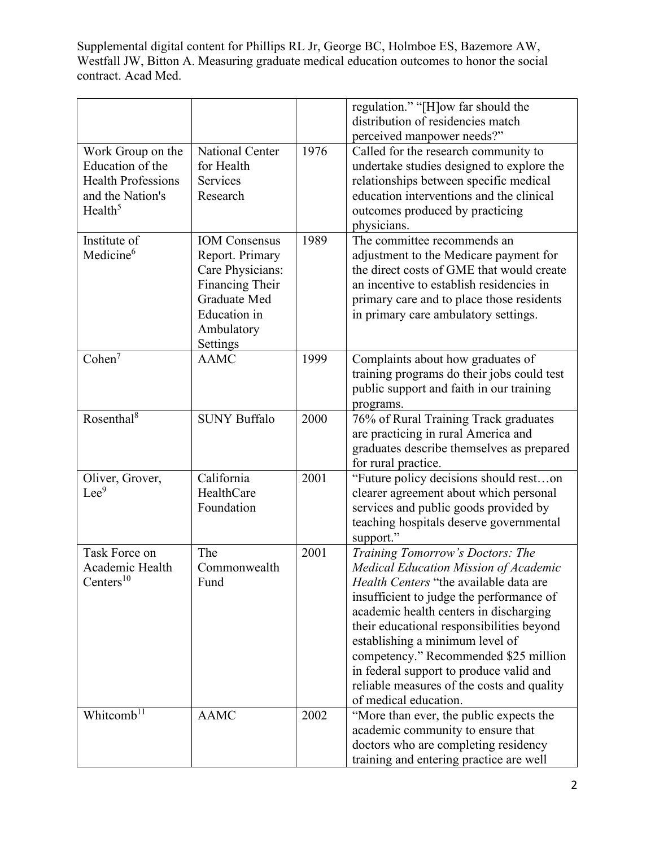|                           |                      |      | regulation." "[H]ow far should the<br>distribution of residencies match |
|---------------------------|----------------------|------|-------------------------------------------------------------------------|
|                           |                      |      | perceived manpower needs?"                                              |
| Work Group on the         | National Center      | 1976 | Called for the research community to                                    |
| Education of the          | for Health           |      | undertake studies designed to explore the                               |
| <b>Health Professions</b> | Services             |      | relationships between specific medical                                  |
| and the Nation's          | Research             |      | education interventions and the clinical                                |
| Health <sup>5</sup>       |                      |      | outcomes produced by practicing                                         |
|                           |                      |      | physicians.                                                             |
| Institute of              | <b>IOM</b> Consensus | 1989 | The committee recommends an                                             |
| Medicine <sup>6</sup>     | Report. Primary      |      | adjustment to the Medicare payment for                                  |
|                           | Care Physicians:     |      | the direct costs of GME that would create                               |
|                           | Financing Their      |      | an incentive to establish residencies in                                |
|                           | Graduate Med         |      | primary care and to place those residents                               |
|                           | <b>Education</b> in  |      | in primary care ambulatory settings.                                    |
|                           | Ambulatory           |      |                                                                         |
|                           | Settings             |      |                                                                         |
| Cohen <sup>7</sup>        | <b>AAMC</b>          | 1999 | Complaints about how graduates of                                       |
|                           |                      |      | training programs do their jobs could test                              |
|                           |                      |      | public support and faith in our training                                |
|                           |                      |      | programs.                                                               |
| Rosenthal $8$             | <b>SUNY Buffalo</b>  | 2000 | 76% of Rural Training Track graduates                                   |
|                           |                      |      | are practicing in rural America and                                     |
|                           |                      |      | graduates describe themselves as prepared                               |
|                           |                      |      | for rural practice.                                                     |
| Oliver, Grover,           | California           | 2001 | "Future policy decisions should reston                                  |
| $Lee^9$                   | HealthCare           |      | clearer agreement about which personal                                  |
|                           | Foundation           |      | services and public goods provided by                                   |
|                           |                      |      | teaching hospitals deserve governmental                                 |
|                           |                      |      | support."                                                               |
| Task Force on             | The                  | 2001 | Training Tomorrow's Doctors: The                                        |
| Academic Health           | Commonwealth         |      | Medical Education Mission of Academic                                   |
| Centers <sup>10</sup>     | Fund                 |      | Health Centers "the available data are                                  |
|                           |                      |      | insufficient to judge the performance of                                |
|                           |                      |      | academic health centers in discharging                                  |
|                           |                      |      | their educational responsibilities beyond                               |
|                           |                      |      | establishing a minimum level of                                         |
|                           |                      |      | competency." Recommended \$25 million                                   |
|                           |                      |      | in federal support to produce valid and                                 |
|                           |                      |      | reliable measures of the costs and quality                              |
|                           |                      |      | of medical education.                                                   |
| Whitcomb <sup>11</sup>    | <b>AAMC</b>          | 2002 | "More than ever, the public expects the                                 |
|                           |                      |      | academic community to ensure that                                       |
|                           |                      |      | doctors who are completing residency                                    |
|                           |                      |      | training and entering practice are well                                 |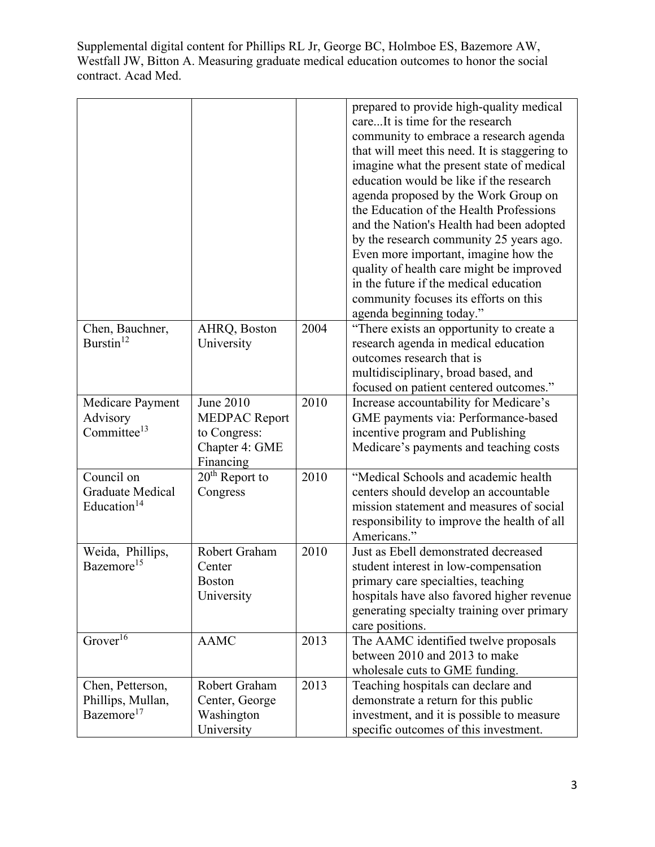|                                                                  |                                                                                  |      | prepared to provide high-quality medical<br>careIt is time for the research<br>community to embrace a research agenda<br>that will meet this need. It is staggering to<br>imagine what the present state of medical<br>education would be like if the research<br>agenda proposed by the Work Group on<br>the Education of the Health Professions<br>and the Nation's Health had been adopted<br>by the research community 25 years ago.<br>Even more important, imagine how the<br>quality of health care might be improved<br>in the future if the medical education<br>community focuses its efforts on this<br>agenda beginning today." |
|------------------------------------------------------------------|----------------------------------------------------------------------------------|------|---------------------------------------------------------------------------------------------------------------------------------------------------------------------------------------------------------------------------------------------------------------------------------------------------------------------------------------------------------------------------------------------------------------------------------------------------------------------------------------------------------------------------------------------------------------------------------------------------------------------------------------------|
| Chen, Bauchner,<br>Burstin <sup>12</sup>                         | AHRQ, Boston<br>University                                                       | 2004 | "There exists an opportunity to create a<br>research agenda in medical education<br>outcomes research that is<br>multidisciplinary, broad based, and<br>focused on patient centered outcomes."                                                                                                                                                                                                                                                                                                                                                                                                                                              |
| Medicare Payment<br>Advisory<br>Committee $13$                   | June 2010<br><b>MEDPAC Report</b><br>to Congress:<br>Chapter 4: GME<br>Financing | 2010 | Increase accountability for Medicare's<br>GME payments via: Performance-based<br>incentive program and Publishing<br>Medicare's payments and teaching costs                                                                                                                                                                                                                                                                                                                                                                                                                                                                                 |
| Council on<br><b>Graduate Medical</b><br>Education <sup>14</sup> | $20th$ Report to<br>Congress                                                     | 2010 | "Medical Schools and academic health<br>centers should develop an accountable<br>mission statement and measures of social<br>responsibility to improve the health of all<br>Americans."                                                                                                                                                                                                                                                                                                                                                                                                                                                     |
| Weida, Phillips,<br>Bazemore <sup>15</sup>                       | Robert Graham<br>Center<br>Boston<br>University                                  | 2010 | Just as Ebell demonstrated decreased<br>student interest in low-compensation<br>primary care specialties, teaching<br>hospitals have also favored higher revenue<br>generating specialty training over primary<br>care positions.                                                                                                                                                                                                                                                                                                                                                                                                           |
| Grover $\overline{^{16}}$                                        | <b>AAMC</b>                                                                      | 2013 | The AAMC identified twelve proposals<br>between 2010 and 2013 to make<br>wholesale cuts to GME funding.                                                                                                                                                                                                                                                                                                                                                                                                                                                                                                                                     |
| Chen, Petterson,<br>Phillips, Mullan,<br>Bazemore <sup>17</sup>  | Robert Graham<br>Center, George<br>Washington<br>University                      | 2013 | Teaching hospitals can declare and<br>demonstrate a return for this public<br>investment, and it is possible to measure<br>specific outcomes of this investment.                                                                                                                                                                                                                                                                                                                                                                                                                                                                            |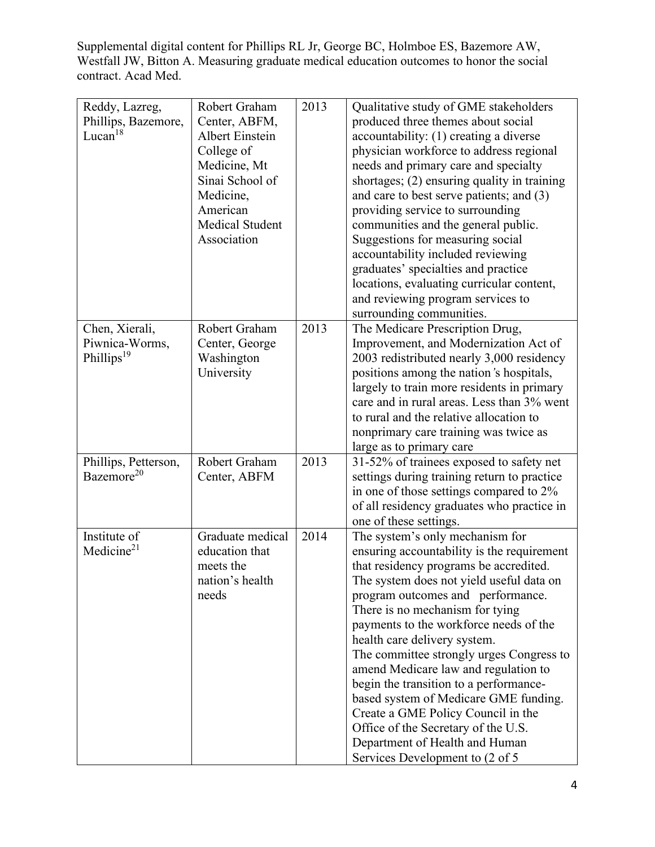| Reddy, Lazreg,         | Robert Graham          | 2013 | Qualitative study of GME stakeholders       |
|------------------------|------------------------|------|---------------------------------------------|
| Phillips, Bazemore,    | Center, ABFM,          |      | produced three themes about social          |
| Lucan $18$             | <b>Albert Einstein</b> |      | accountability: (1) creating a diverse      |
|                        | College of             |      | physician workforce to address regional     |
|                        | Medicine, Mt           |      | needs and primary care and specialty        |
|                        | Sinai School of        |      | shortages; (2) ensuring quality in training |
|                        | Medicine,              |      | and care to best serve patients; and (3)    |
|                        | American               |      | providing service to surrounding            |
|                        | <b>Medical Student</b> |      | communities and the general public.         |
|                        | Association            |      | Suggestions for measuring social            |
|                        |                        |      | accountability included reviewing           |
|                        |                        |      | graduates' specialties and practice         |
|                        |                        |      | locations, evaluating curricular content,   |
|                        |                        |      | and reviewing program services to           |
|                        |                        |      | surrounding communities.                    |
| Chen, Xierali,         | Robert Graham          | 2013 | The Medicare Prescription Drug,             |
| Piwnica-Worms,         | Center, George         |      | Improvement, and Modernization Act of       |
| Phillips <sup>19</sup> | Washington             |      | 2003 redistributed nearly 3,000 residency   |
|                        | University             |      | positions among the nation's hospitals,     |
|                        |                        |      | largely to train more residents in primary  |
|                        |                        |      | care and in rural areas. Less than 3% went  |
|                        |                        |      | to rural and the relative allocation to     |
|                        |                        |      | nonprimary care training was twice as       |
|                        |                        |      | large as to primary care                    |
| Phillips, Petterson,   | Robert Graham          | 2013 | 31-52% of trainees exposed to safety net    |
| Bazemore <sup>20</sup> | Center, ABFM           |      | settings during training return to practice |
|                        |                        |      | in one of those settings compared to 2%     |
|                        |                        |      | of all residency graduates who practice in  |
|                        |                        |      | one of these settings.                      |
| Institute of           | Graduate medical       | 2014 | The system's only mechanism for             |
| Medicine $21$          | education that         |      | ensuring accountability is the requirement  |
|                        | meets the              |      | that residency programs be accredited.      |
|                        | nation's health        |      | The system does not yield useful data on    |
|                        | needs                  |      | program outcomes and performance.           |
|                        |                        |      | There is no mechanism for tying             |
|                        |                        |      | payments to the workforce needs of the      |
|                        |                        |      | health care delivery system.                |
|                        |                        |      | The committee strongly urges Congress to    |
|                        |                        |      | amend Medicare law and regulation to        |
|                        |                        |      | begin the transition to a performance-      |
|                        |                        |      | based system of Medicare GME funding.       |
|                        |                        |      | Create a GME Policy Council in the          |
|                        |                        |      | Office of the Secretary of the U.S.         |
|                        |                        |      | Department of Health and Human              |
|                        |                        |      | Services Development to (2 of 5)            |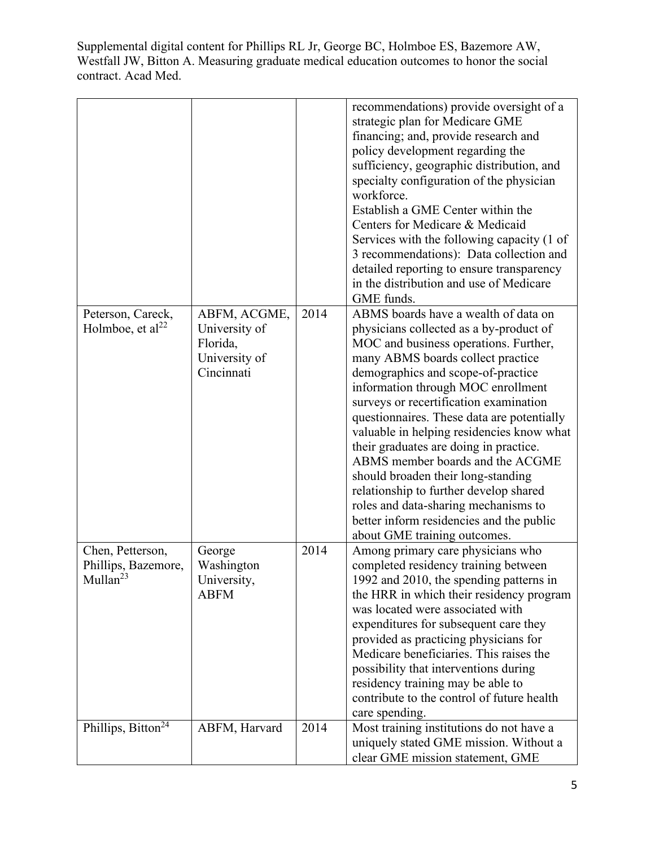|                                                                 |                                                                          |      | recommendations) provide oversight of a<br>strategic plan for Medicare GME<br>financing; and, provide research and<br>policy development regarding the<br>sufficiency, geographic distribution, and<br>specialty configuration of the physician<br>workforce.<br>Establish a GME Center within the<br>Centers for Medicare & Medicaid<br>Services with the following capacity (1 of<br>3 recommendations): Data collection and<br>detailed reporting to ensure transparency<br>in the distribution and use of Medicare<br>GME funds.                                                                                                                             |
|-----------------------------------------------------------------|--------------------------------------------------------------------------|------|------------------------------------------------------------------------------------------------------------------------------------------------------------------------------------------------------------------------------------------------------------------------------------------------------------------------------------------------------------------------------------------------------------------------------------------------------------------------------------------------------------------------------------------------------------------------------------------------------------------------------------------------------------------|
| Peterson, Careck,<br>Holmboe, et al <sup>22</sup>               | ABFM, ACGME,<br>University of<br>Florida,<br>University of<br>Cincinnati | 2014 | ABMS boards have a wealth of data on<br>physicians collected as a by-product of<br>MOC and business operations. Further,<br>many ABMS boards collect practice<br>demographics and scope-of-practice<br>information through MOC enrollment<br>surveys or recertification examination<br>questionnaires. These data are potentially<br>valuable in helping residencies know what<br>their graduates are doing in practice.<br>ABMS member boards and the ACGME<br>should broaden their long-standing<br>relationship to further develop shared<br>roles and data-sharing mechanisms to<br>better inform residencies and the public<br>about GME training outcomes. |
| Chen, Petterson,<br>Phillips, Bazemore,<br>Mullan <sup>23</sup> | George<br>Washington<br>University,<br><b>ABFM</b>                       | 2014 | Among primary care physicians who<br>completed residency training between<br>1992 and 2010, the spending patterns in<br>the HRR in which their residency program<br>was located were associated with<br>expenditures for subsequent care they<br>provided as practicing physicians for<br>Medicare beneficiaries. This raises the<br>possibility that interventions during<br>residency training may be able to<br>contribute to the control of future health<br>care spending.                                                                                                                                                                                  |
| Phillips, Bitton <sup>24</sup>                                  | ABFM, Harvard                                                            | 2014 | Most training institutions do not have a<br>uniquely stated GME mission. Without a<br>clear GME mission statement, GME                                                                                                                                                                                                                                                                                                                                                                                                                                                                                                                                           |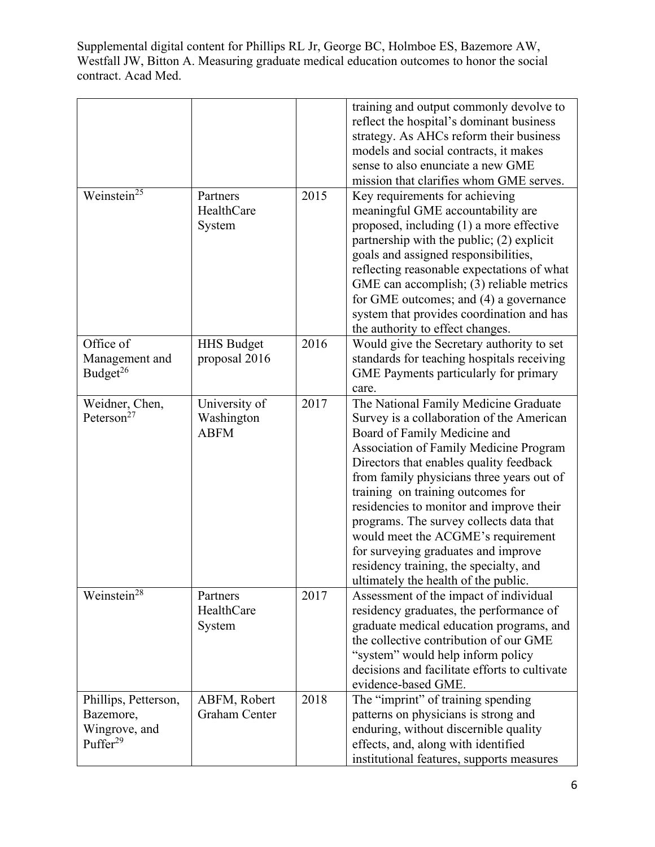|                                                                            |                                            |      | training and output commonly devolve to<br>reflect the hospital's dominant business<br>strategy. As AHCs reform their business<br>models and social contracts, it makes<br>sense to also enunciate a new GME<br>mission that clarifies whom GME serves.                                                                                                                                                                                                                                                                                         |
|----------------------------------------------------------------------------|--------------------------------------------|------|-------------------------------------------------------------------------------------------------------------------------------------------------------------------------------------------------------------------------------------------------------------------------------------------------------------------------------------------------------------------------------------------------------------------------------------------------------------------------------------------------------------------------------------------------|
| Weinstein <sup>25</sup>                                                    | Partners<br>HealthCare<br>System           | 2015 | Key requirements for achieving<br>meaningful GME accountability are<br>proposed, including (1) a more effective<br>partnership with the public; (2) explicit<br>goals and assigned responsibilities,<br>reflecting reasonable expectations of what<br>GME can accomplish; (3) reliable metrics<br>for GME outcomes; and (4) a governance<br>system that provides coordination and has<br>the authority to effect changes.                                                                                                                       |
| Office of<br>Management and<br>Budget <sup>26</sup>                        | <b>HHS Budget</b><br>proposal 2016         | 2016 | Would give the Secretary authority to set<br>standards for teaching hospitals receiving<br>GME Payments particularly for primary<br>care.                                                                                                                                                                                                                                                                                                                                                                                                       |
| Weidner, Chen,<br>Peterson <sup>27</sup>                                   | University of<br>Washington<br><b>ABFM</b> | 2017 | The National Family Medicine Graduate<br>Survey is a collaboration of the American<br>Board of Family Medicine and<br>Association of Family Medicine Program<br>Directors that enables quality feedback<br>from family physicians three years out of<br>training on training outcomes for<br>residencies to monitor and improve their<br>programs. The survey collects data that<br>would meet the ACGME's requirement<br>for surveying graduates and improve<br>residency training, the specialty, and<br>ultimately the health of the public. |
| Weinstein <sup>28</sup>                                                    | Partners<br>HealthCare<br>System           | 2017 | Assessment of the impact of individual<br>residency graduates, the performance of<br>graduate medical education programs, and<br>the collective contribution of our GME<br>"system" would help inform policy<br>decisions and facilitate efforts to cultivate<br>evidence-based GME.                                                                                                                                                                                                                                                            |
| Phillips, Petterson,<br>Bazemore,<br>Wingrove, and<br>Puffer <sup>29</sup> | ABFM, Robert<br>Graham Center              | 2018 | The "imprint" of training spending<br>patterns on physicians is strong and<br>enduring, without discernible quality<br>effects, and, along with identified<br>institutional features, supports measures                                                                                                                                                                                                                                                                                                                                         |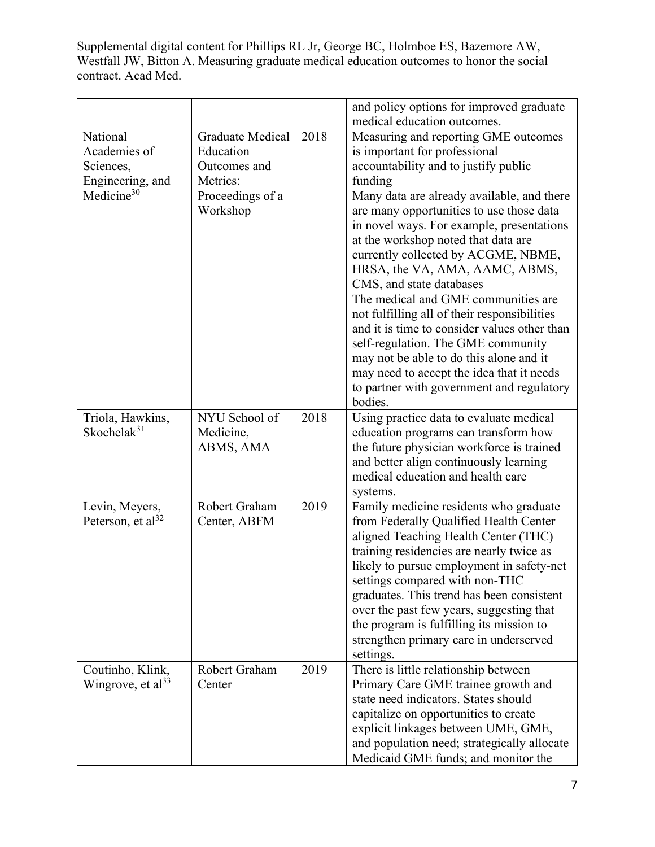|                                       |                         |      | and policy options for improved graduate<br>medical education outcomes.             |
|---------------------------------------|-------------------------|------|-------------------------------------------------------------------------------------|
| National                              | <b>Graduate Medical</b> | 2018 | Measuring and reporting GME outcomes                                                |
| Academies of                          | Education               |      | is important for professional                                                       |
|                                       |                         |      |                                                                                     |
| Sciences,                             | Outcomes and            |      | accountability and to justify public                                                |
| Engineering, and                      | Metrics:                |      | funding                                                                             |
| Medicine <sup>30</sup>                | Proceedings of a        |      | Many data are already available, and there                                          |
|                                       | Workshop                |      | are many opportunities to use those data                                            |
|                                       |                         |      | in novel ways. For example, presentations                                           |
|                                       |                         |      | at the workshop noted that data are                                                 |
|                                       |                         |      | currently collected by ACGME, NBME,                                                 |
|                                       |                         |      | HRSA, the VA, AMA, AAMC, ABMS,                                                      |
|                                       |                         |      | CMS, and state databases                                                            |
|                                       |                         |      | The medical and GME communities are                                                 |
|                                       |                         |      | not fulfilling all of their responsibilities                                        |
|                                       |                         |      | and it is time to consider values other than                                        |
|                                       |                         |      | self-regulation. The GME community                                                  |
|                                       |                         |      | may not be able to do this alone and it                                             |
|                                       |                         |      | may need to accept the idea that it needs                                           |
|                                       |                         |      | to partner with government and regulatory                                           |
|                                       |                         |      | bodies.                                                                             |
| Triola, Hawkins,<br>Skochela $k^{31}$ | NYU School of           | 2018 | Using practice data to evaluate medical                                             |
|                                       | Medicine,               |      | education programs can transform how                                                |
|                                       | ABMS, AMA               |      | the future physician workforce is trained<br>and better align continuously learning |
|                                       |                         |      | medical education and health care                                                   |
|                                       |                         |      | systems.                                                                            |
| Levin, Meyers,                        | Robert Graham           | 2019 | Family medicine residents who graduate                                              |
| Peterson, et al $^{32}$               | Center, ABFM            |      | from Federally Qualified Health Center-                                             |
|                                       |                         |      | aligned Teaching Health Center (THC)                                                |
|                                       |                         |      | training residencies are nearly twice as                                            |
|                                       |                         |      | likely to pursue employment in safety-net                                           |
|                                       |                         |      | settings compared with non-THC                                                      |
|                                       |                         |      | graduates. This trend has been consistent                                           |
|                                       |                         |      | over the past few years, suggesting that                                            |
|                                       |                         |      | the program is fulfilling its mission to                                            |
|                                       |                         |      | strengthen primary care in underserved                                              |
|                                       |                         |      | settings.                                                                           |
| Coutinho, Klink,                      | Robert Graham           | 2019 | There is little relationship between                                                |
| Wingrove, et al <sup>33</sup>         | Center                  |      | Primary Care GME trainee growth and                                                 |
|                                       |                         |      | state need indicators. States should                                                |
|                                       |                         |      | capitalize on opportunities to create                                               |
|                                       |                         |      | explicit linkages between UME, GME,                                                 |
|                                       |                         |      | and population need; strategically allocate                                         |
|                                       |                         |      | Medicaid GME funds; and monitor the                                                 |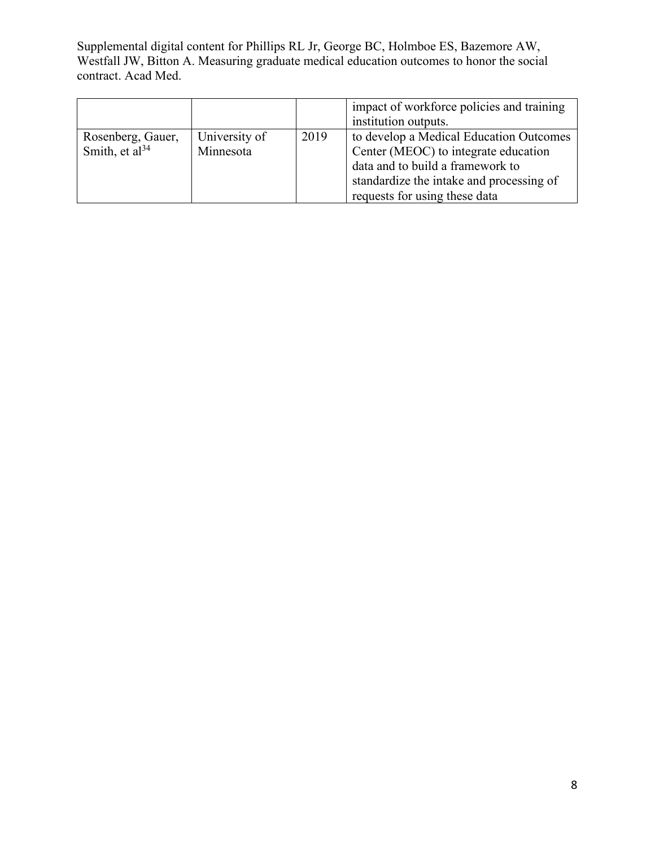|                     |               |      | impact of workforce policies and training |
|---------------------|---------------|------|-------------------------------------------|
|                     |               |      | institution outputs.                      |
| Rosenberg, Gauer,   | University of | 2019 | to develop a Medical Education Outcomes   |
| Smith, et $al^{34}$ | Minnesota     |      | Center (MEOC) to integrate education      |
|                     |               |      | data and to build a framework to          |
|                     |               |      | standardize the intake and processing of  |
|                     |               |      | requests for using these data             |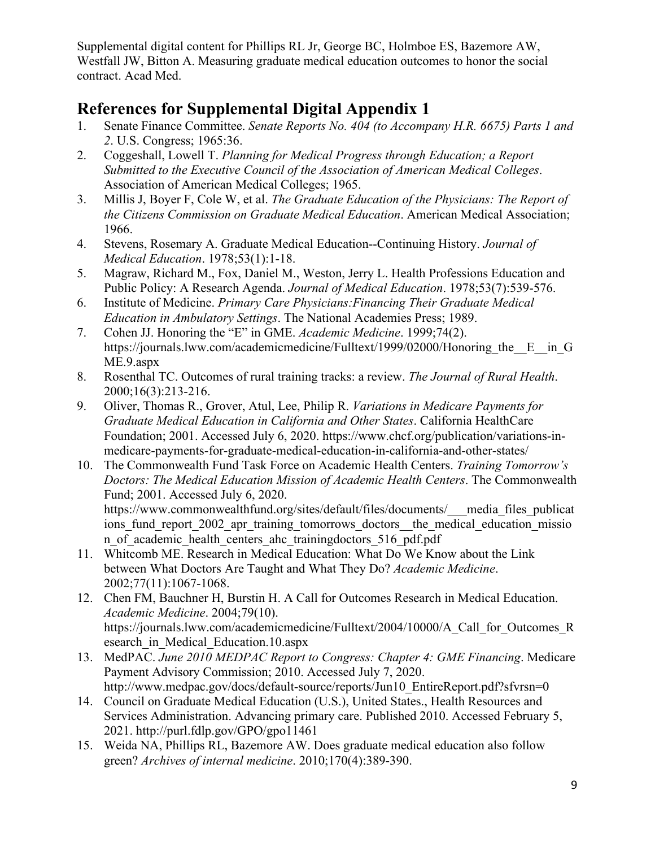## **References for Supplemental Digital Appendix 1**

- 1. Senate Finance Committee. *Senate Reports No. 404 (to Accompany H.R. 6675) Parts 1 and 2*. U.S. Congress; 1965:36.
- 2. Coggeshall, Lowell T. *Planning for Medical Progress through Education; a Report Submitted to the Executive Council of the Association of American Medical Colleges*. Association of American Medical Colleges; 1965.
- 3. Millis J, Boyer F, Cole W, et al. *The Graduate Education of the Physicians: The Report of the Citizens Commission on Graduate Medical Education*. American Medical Association; 1966.
- 4. Stevens, Rosemary A. Graduate Medical Education--Continuing History. *Journal of Medical Education*. 1978;53(1):1-18.
- 5. Magraw, Richard M., Fox, Daniel M., Weston, Jerry L. Health Professions Education and Public Policy: A Research Agenda. *Journal of Medical Education*. 1978;53(7):539-576.
- 6. Institute of Medicine. *Primary Care Physicians:Financing Their Graduate Medical Education in Ambulatory Settings*. The National Academies Press; 1989.
- 7. Cohen JJ. Honoring the "E" in GME. *Academic Medicine*. 1999;74(2). https://journals.lww.com/academicmedicine/Fulltext/1999/02000/Honoring the E in G ME.9.aspx
- 8. Rosenthal TC. Outcomes of rural training tracks: a review. *The Journal of Rural Health*. 2000;16(3):213-216.
- 9. Oliver, Thomas R., Grover, Atul, Lee, Philip R. *Variations in Medicare Payments for Graduate Medical Education in California and Other States*. California HealthCare Foundation; 2001. Accessed July 6, 2020. https://www.chcf.org/publication/variations-inmedicare-payments-for-graduate-medical-education-in-california-and-other-states/
- 10. The Commonwealth Fund Task Force on Academic Health Centers. *Training Tomorrow's Doctors: The Medical Education Mission of Academic Health Centers*. The Commonwealth Fund; 2001. Accessed July 6, 2020. https://www.commonwealthfund.org/sites/default/files/documents/\_\_\_media\_files\_publicat ions fund report 2002 apr training tomorrows doctors—the medical education missio

n of academic health centers ahc trainingdoctors 516 pdf.pdf 11. Whitcomb ME. Research in Medical Education: What Do We Know about the Link

- between What Doctors Are Taught and What They Do? *Academic Medicine*. 2002;77(11):1067-1068.
- 12. Chen FM, Bauchner H, Burstin H. A Call for Outcomes Research in Medical Education. *Academic Medicine*. 2004;79(10). https://journals.lww.com/academicmedicine/Fulltext/2004/10000/A\_Call\_for\_Outcomes\_R esearch\_in\_Medical\_Education.10.aspx
- 13. MedPAC. *June 2010 MEDPAC Report to Congress: Chapter 4: GME Financing*. Medicare Payment Advisory Commission; 2010. Accessed July 7, 2020. http://www.medpac.gov/docs/default-source/reports/Jun10\_EntireReport.pdf?sfvrsn=0
- 14. Council on Graduate Medical Education (U.S.), United States., Health Resources and Services Administration. Advancing primary care. Published 2010. Accessed February 5, 2021. http://purl.fdlp.gov/GPO/gpo11461
- 15. Weida NA, Phillips RL, Bazemore AW. Does graduate medical education also follow green? *Archives of internal medicine*. 2010;170(4):389-390.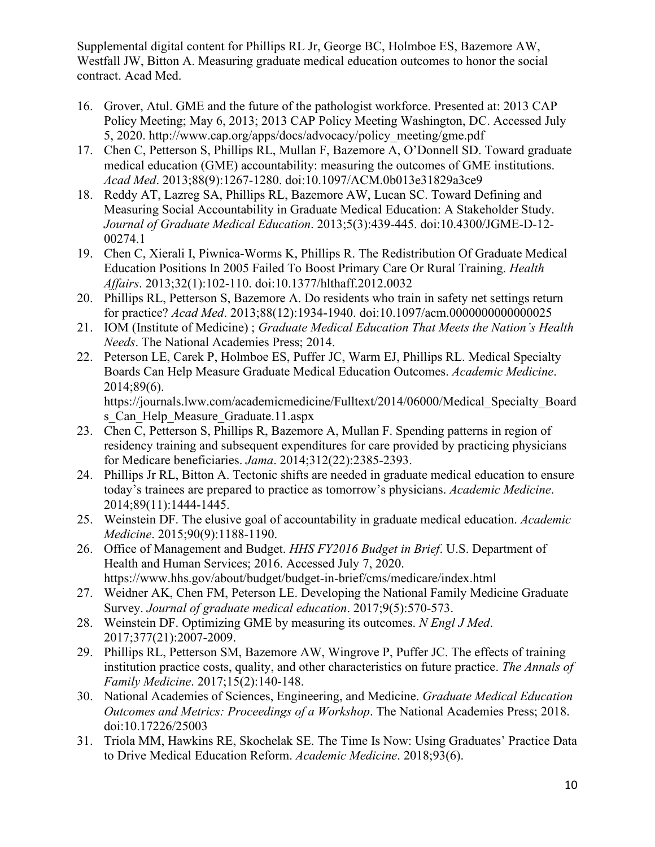- 16. Grover, Atul. GME and the future of the pathologist workforce. Presented at: 2013 CAP Policy Meeting; May 6, 2013; 2013 CAP Policy Meeting Washington, DC. Accessed July 5, 2020. http://www.cap.org/apps/docs/advocacy/policy\_meeting/gme.pdf
- 17. Chen C, Petterson S, Phillips RL, Mullan F, Bazemore A, O'Donnell SD. Toward graduate medical education (GME) accountability: measuring the outcomes of GME institutions. *Acad Med*. 2013;88(9):1267-1280. doi:10.1097/ACM.0b013e31829a3ce9
- 18. Reddy AT, Lazreg SA, Phillips RL, Bazemore AW, Lucan SC. Toward Defining and Measuring Social Accountability in Graduate Medical Education: A Stakeholder Study. *Journal of Graduate Medical Education*. 2013;5(3):439-445. doi:10.4300/JGME-D-12- 00274.1
- 19. Chen C, Xierali I, Piwnica-Worms K, Phillips R. The Redistribution Of Graduate Medical Education Positions In 2005 Failed To Boost Primary Care Or Rural Training. *Health Affairs*. 2013;32(1):102-110. doi:10.1377/hlthaff.2012.0032
- 20. Phillips RL, Petterson S, Bazemore A. Do residents who train in safety net settings return for practice? *Acad Med*. 2013;88(12):1934-1940. doi:10.1097/acm.0000000000000025
- 21. IOM (Institute of Medicine) ; *Graduate Medical Education That Meets the Nation's Health Needs*. The National Academies Press; 2014.
- 22. Peterson LE, Carek P, Holmboe ES, Puffer JC, Warm EJ, Phillips RL. Medical Specialty Boards Can Help Measure Graduate Medical Education Outcomes. *Academic Medicine*. 2014;89(6).

https://journals.lww.com/academicmedicine/Fulltext/2014/06000/Medical\_Specialty\_Board s Can Help Measure Graduate.11.aspx

- 23. Chen C, Petterson S, Phillips R, Bazemore A, Mullan F. Spending patterns in region of residency training and subsequent expenditures for care provided by practicing physicians for Medicare beneficiaries. *Jama*. 2014;312(22):2385-2393.
- 24. Phillips Jr RL, Bitton A. Tectonic shifts are needed in graduate medical education to ensure today's trainees are prepared to practice as tomorrow's physicians. *Academic Medicine*. 2014;89(11):1444-1445.
- 25. Weinstein DF. The elusive goal of accountability in graduate medical education. *Academic Medicine*. 2015;90(9):1188-1190.
- 26. Office of Management and Budget. *HHS FY2016 Budget in Brief*. U.S. Department of Health and Human Services; 2016. Accessed July 7, 2020. https://www.hhs.gov/about/budget/budget-in-brief/cms/medicare/index.html
- 27. Weidner AK, Chen FM, Peterson LE. Developing the National Family Medicine Graduate Survey. *Journal of graduate medical education*. 2017;9(5):570-573.
- 28. Weinstein DF. Optimizing GME by measuring its outcomes. *N Engl J Med*. 2017;377(21):2007-2009.
- 29. Phillips RL, Petterson SM, Bazemore AW, Wingrove P, Puffer JC. The effects of training institution practice costs, quality, and other characteristics on future practice. *The Annals of Family Medicine*. 2017;15(2):140-148.
- 30. National Academies of Sciences, Engineering, and Medicine. *Graduate Medical Education Outcomes and Metrics: Proceedings of a Workshop*. The National Academies Press; 2018. doi:10.17226/25003
- 31. Triola MM, Hawkins RE, Skochelak SE. The Time Is Now: Using Graduates' Practice Data to Drive Medical Education Reform. *Academic Medicine*. 2018;93(6).